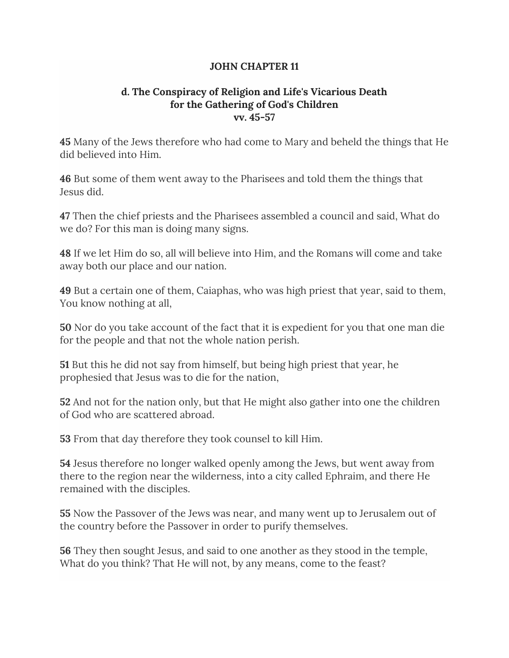## **JOHN CHAPTER 11**

## **d. The Conspiracy of Religion and Life's Vicarious Death for the Gathering of God's Children vv. 45-57**

**45** Many of the Jews therefore who had come to Mary and beheld the things that He did believed into Him.

**46** But some of them went away to the Pharisees and told them the things that Jesus did.

**47** Then the chief priests and the Pharisees assembled a council and said, What do we do? For this man is doing many signs.

**48** If we let Him do so, all will believe into Him, and the Romans will come and take away both our place and our nation.

**49** But a certain one of them, Caiaphas, who was high priest that year, said to them, You know nothing at all,

**50** Nor do you take account of the fact that it is expedient for you that one man die for the people and that not the whole nation perish.

**51** But this he did not say from himself, but being high priest that year, he prophesied that Jesus was to die for the nation,

**52** And not for the nation only, but that He might also gather into one the children of God who are scattered abroad.

**53** From that day therefore they took counsel to kill Him.

**54** Jesus therefore no longer walked openly among the Jews, but went away from there to the region near the wilderness, into a city called Ephraim, and there He remained with the disciples.

**55** Now the Passover of the Jews was near, and many went up to Jerusalem out of the country before the Passover in order to purify themselves.

**56** They then sought Jesus, and said to one another as they stood in the temple, What do you think? That He will not, by any means, come to the feast?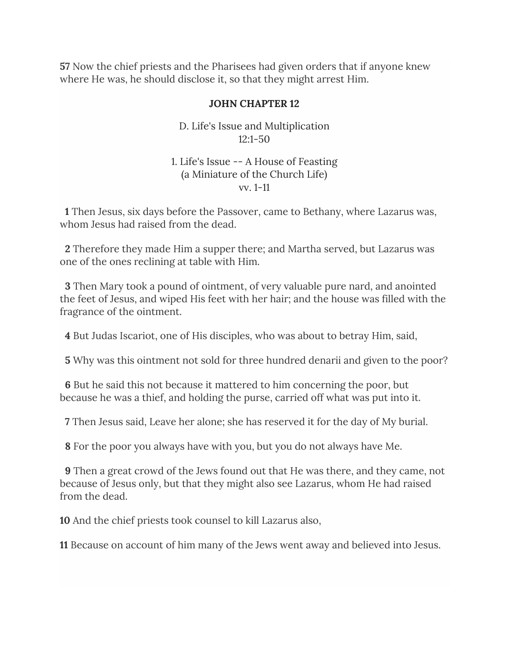**57** Now the chief priests and the Pharisees had given orders that if anyone knew where He was, he should disclose it, so that they might arrest Him.

#### **JOHN CHAPTER 12**

D. Life's Issue and Multiplication 12:1-50

### 1. Life's Issue -- A House of Feasting (a Miniature of the Church Life) vv. 1-11

**1** Then Jesus, six days before the Passover, came to Bethany, where Lazarus was, whom Jesus had raised from the dead.

**2** Therefore they made Him a supper there; and Martha served, but Lazarus was one of the ones reclining at table with Him.

**3** Then Mary took a pound of ointment, of very valuable pure nard, and anointed the feet of Jesus, and wiped His feet with her hair; and the house was filled with the fragrance of the ointment.

**4** But Judas Iscariot, one of His disciples, who was about to betray Him, said,

**5** Why was this ointment not sold for three hundred denarii and given to the poor?

**6** But he said this not because it mattered to him concerning the poor, but because he was a thief, and holding the purse, carried off what was put into it.

**7** Then Jesus said, Leave her alone; she has reserved it for the day of My burial.

**8** For the poor you always have with you, but you do not always have Me.

**9** Then a great crowd of the Jews found out that He was there, and they came, not because of Jesus only, but that they might also see Lazarus, whom He had raised from the dead.

**10** And the chief priests took counsel to kill Lazarus also,

**11** Because on account of him many of the Jews went away and believed into Jesus.